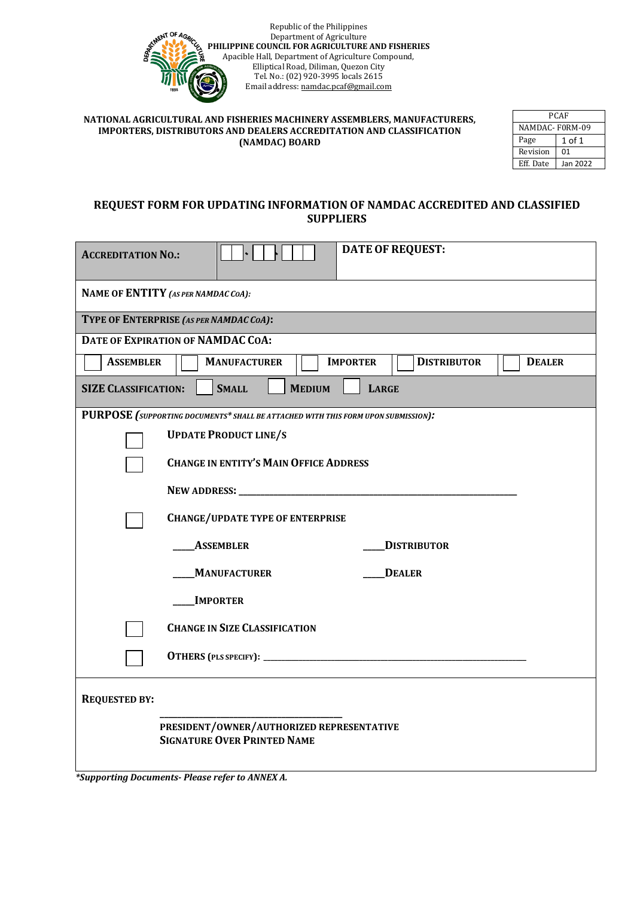

#### **NATIONAL AGRICULTURAL AND FISHERIES MACHINERY ASSEMBLERS, MANUFACTURERS, IMPORTERS, DISTRIBUTORS AND DEALERS ACCREDITATION AND CLASSIFICATION (NAMDAC) BOARD**

| PCAF           |          |  |
|----------------|----------|--|
| NAMDAC-F0RM-09 |          |  |
| Page           | 1 of 1   |  |
| Revision       | 01       |  |
| Eff. Date      | Jan 2022 |  |

# **REQUEST FORM FOR UPDATING INFORMATION OF NAMDAC ACCREDITED AND CLASSIFIED SUPPLIERS**

| <b>ACCREDITATION NO.:</b>                                                         |                                      | <b>DATE OF REQUEST:</b>               |               |
|-----------------------------------------------------------------------------------|--------------------------------------|---------------------------------------|---------------|
| NAME OF ENTITY (AS PER NAMDAC COA):                                               |                                      |                                       |               |
| TYPE OF ENTERPRISE (AS PER NAMDAC COA):                                           |                                      |                                       |               |
| DATE OF EXPIRATION OF NAMDAC COA:                                                 |                                      |                                       |               |
| <b>ASSEMBLER</b>                                                                  | <b>MANUFACTURER</b>                  | <b>IMPORTER</b><br><b>DISTRIBUTOR</b> | <b>DEALER</b> |
| <b>SMALL</b><br><b>MEDIUM</b><br><b>SIZE CLASSIFICATION:</b><br><b>LARGE</b>      |                                      |                                       |               |
| PURPOSE (SUPPORTING DOCUMENTS* SHALL BE ATTACHED WITH THIS FORM UPON SUBMISSION): |                                      |                                       |               |
| <b>UPDATE PRODUCT LINE/S</b>                                                      |                                      |                                       |               |
| <b>CHANGE IN ENTITY'S MAIN OFFICE ADDRESS</b>                                     |                                      |                                       |               |
|                                                                                   |                                      |                                       |               |
| <b>CHANGE/UPDATE TYPE OF ENTERPRISE</b>                                           |                                      |                                       |               |
| <b>ASSEMBLER</b>                                                                  |                                      | <b>DISTRIBUTOR</b>                    |               |
| <b>MANUFACTURER</b>                                                               |                                      | <b>DEALER</b>                         |               |
| <b>IMPORTER</b>                                                                   |                                      |                                       |               |
|                                                                                   | <b>CHANGE IN SIZE CLASSIFICATION</b> |                                       |               |
|                                                                                   |                                      |                                       |               |
| <b>REQUESTED BY:</b>                                                              |                                      |                                       |               |
| PRESIDENT/OWNER/AUTHORIZED REPRESENTATIVE<br><b>SIGNATURE OVER PRINTED NAME</b>   |                                      |                                       |               |

*\*Supporting Documents- Please refer to ANNEX A.*